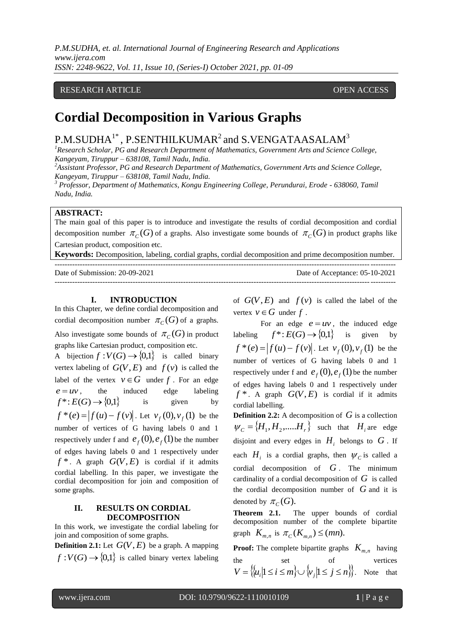### RESEARCH ARTICLE **CONSERVERS** OPEN ACCESS

# **Cordial Decomposition in Various Graphs**

## $\mathrm{P.M. SUDHA}^{1*}$  ,  $\mathrm{P. SENTHILKUMAR}^{2}$  and  $\mathrm{S. VENGATAASALAM}^{3}$

*<sup>1</sup>Research Scholar, PG and Research Department of Mathematics, Government Arts and Science College, Kangeyam, Tiruppur – 638108, Tamil Nadu, India.*

*<sup>2</sup>Assistant Professor, PG and Research Department of Mathematics, Government Arts and Science College, Kangeyam, Tiruppur – 638108, Tamil Nadu, India.*

*<sup>3</sup> Professor, Department of Mathematics, Kongu Engineering College, Perundurai, Erode - 638060, Tamil Nadu, India.*

#### **ABSTRACT:**

The main goal of this paper is to introduce and investigate the results of cordial decomposition and cordial decomposition number  $\pi_C(G)$  of a graphs. Also investigate some bounds of  $\pi_C(G)$  in product graphs like Cartesian product, composition etc.

**Keywords:** Decomposition, labeling, cordial graphs, cordial decomposition and prime decomposition number.

| Date of Submission: 20-09-2021 | Date of Acceptance: 05-10-2021 |
|--------------------------------|--------------------------------|
|                                |                                |

#### **I. INTRODUCTION**

In this Chapter, we define cordial decomposition and cordial decomposition number  $\pi_C(G)$  of a graphs.

Also investigate some bounds of  $\pi_C(G)$  in product graphs like Cartesian product, composition etc.

A bijection  $f: V(G) \to \{0,1\}$  is called binary vertex labeling of  $G(V, E)$  and  $f(v)$  is called the label of the vertex  $v \in G$  under f . For an edge  $e = uv$ , , the induced edge labeling  $f^*: E(G) \rightarrow \{0,1\}$ is given by  $f^*(e) = |f(u) - f(v)|$ . Let  $v_f(0), v_f(1)$  be the number of vertices of G having labels 0 and 1 respectively under f and  $e_f(0), e_f(1)$  be the number of edges having labels 0 and 1 respectively under  $f^*$ . A graph  $G(V, E)$  is cordial if it admits cordial labelling. In this paper, we investigate the cordial decomposition for join and composition of some graphs.

#### **II. RESULTS ON CORDIAL DECOMPOSITION**

In this work, we investigate the cordial labeling for join and composition of some graphs.

**Definition 2.1:** Let  $G(V, E)$  be a graph. A mapping  $f: V(G) \rightarrow \{0,1\}$  is called binary vertex labeling of  $G(V, E)$  and  $f(v)$  is called the label of the vertex  $v \in G$  under  $f$ .

For an edge  $e = uv$ , the induced edge labeling  $f^*: E(G) \to \{0,1\}$  is given by  $f^*(e) = |f(u) - f(v)|$ . Let  $v_f(0), v_f(1)$  be the number of vertices of G having labels 0 and 1 respectively under f and  $e_f(0), e_f(1)$  be the number of edges having labels 0 and 1 respectively under  $f^*$ . A graph  $G(V, E)$  is cordial if it admits cordial labelling.

**Definition 2.2:** A decomposition of G is a collection  $W_C = \{H_1, H_2, \dots H_r\}$  such that  $H_i$  are edge disjoint and every edges in  $H_i$  belongs to  $G$ . If each  $H_i$  is a cordial graphs, then  $\psi_c$  is called a cordial decomposition of *G* . The minimum cardinality of a cordial decomposition of *G* is called the cordial decomposition number of  $G$  and it is denoted by  $\pi_C(G)$ .

**Theorem 2.1.** The upper bounds of cordial decomposition number of the complete bipartite graph  $K_{m,n}$  is  $\pi_C(K_{m,n}) \leq (mn)$ .

**Proof:** The complete bipartite graphs  $K_{m,n}$  having the set of vertices  $V = \{ |u_i| \le i \le m \} \cup \{v_j | 1 \le j \le n \}$ . Note that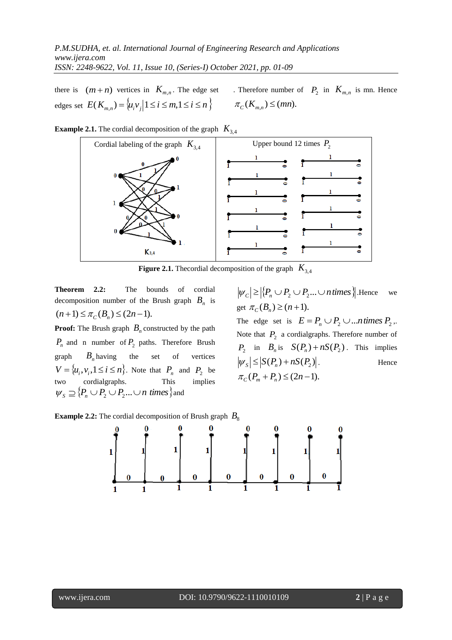there is  $(m+n)$  vertices in  $K_{m,n}$ . The edge set . Therefore number of  $P_2$  in  $K_{m,n}$  is mn. Hence edges set  $E(K_{m,n}) = \{u_i v_j | 1 \le i \le m, 1 \le i \le n\}$   $\pi_c(K_{m,n}) \le (mn).$ 



**Example 2.1.** The cordial decomposition of the graph  $K_{3,4}$ 

**Figure 2.1.** Thecordial decomposition of the graph *K*3,4

**Theorem 2.2:** The bounds of cordial decomposition number of the Brush graph  $B_n$  is  $(n+1) \leq \pi_C(B_n) \leq (2n-1).$ 

**Proof:** The Brush graph *Bn* constructed by the path  $P_n$  and n number of  $P_2$  paths. Therefore Brush graph  $B_n$  having the set of vertices  $V = \{u_i, v_i, 1 \le i \le n\}$ . Note that  $P_n$  and  $P_2$  be two cordialgraphs. This implies  $W_S \supseteq \{P_n \cup P_2 \cup P_2...\cup n \text{ times}\}$  and

 $|\psi_c| \geq |\{P_n \cup P_2 \cup P_2...\cup n \text{ times }\}|$ . Hence we get  $\pi_C(B_n) \ge (n+1)$ .

The edge set is  $E = P_n \cup P_2 \cup ...$ *ntimes*  $P_2$ . Note that  $P_2$  a cordialgraphs. Therefore number of  $P_2$  in  $B_n$  is  $S(P_n) + nS(P_2)$ . This implies  $|\psi_{S}| \leq |S(P_n) + nS(P_2)|$ . . Hence  $\pi_{\mathcal{C}}(P_{m}+P_{n}) \leq (2n-1).$ 



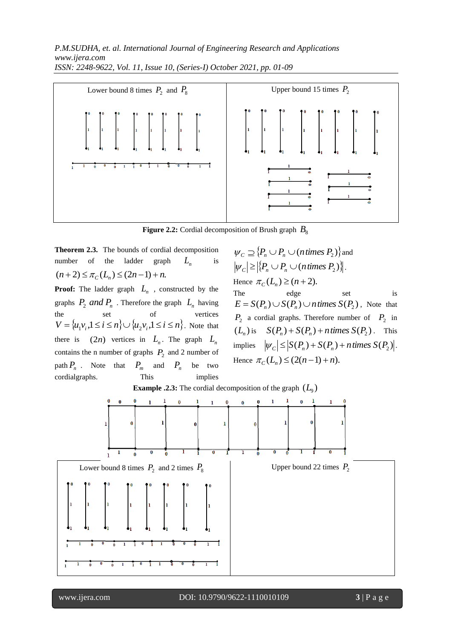

**Figure 2.2:** Cordial decomposition of Brush graph  $B_8$ 

**Theorem 2.3.** The bounds of cordial decomposition number of the ladder graph  $L_n$  is  $(n+2) \leq \pi_{\mathcal{C}}(L_n) \leq (2n-1) + n.$ 

**Proof:** The ladder graph  $L_n$ , constructed by the graphs  $P_2$  *and*  $P_n$ . Therefore the graph  $L_n$  having the set of vertices  $V = \{u_1v_i, 1 \le i \le n\} \cup \{u_2v_i, 1 \le i \le n\}$ . Note that there is  $(2n)$  vertices in  $L_n$ . The graph  $L_n$ contains the n number of graphs  $P_2$  and 2 number of path  $P_n$ . Note that  $P_m$  and  $P_n$  be two cordialgraphs. This implies

 $W_c \supseteq \{P_n \cup P_n \cup (n \text{ times } P_2)\}\$ and  $|\psi_c| \geq |\{P_n \cup P_n \cup (n \text{ times } P_2)\}|.$ Hence  $\pi_{C}(L_{n}) \ge (n + 2)$ .

The edge set is  $E = S(P_n) \cup S(P_n) \cup n \text{ times } S(P_2)$ , Note that  $P_2$  a cordial graphs. Therefore number of  $P_2$  in  $(L_n)$  is  $S(P_n) + S(P_n) + n$  times  $S(P_2)$ . This implies  $|\psi_c| \leq |S(P_n) + S(P_n) + n \text{ times } S(P_2)|$ . Hence  $\pi_C(L_n) \leq (2(n-1) + n)$ .



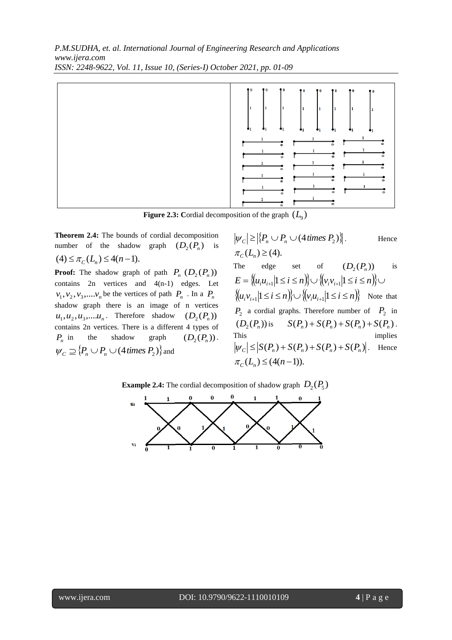

**Figure 2.3:** Cordial decomposition of the graph  $(L_9)$ 

**Theorem 2.4:** The bounds of cordial decomposition number of the shadow graph  $(D_2(P_n)$  is  $(4) \leq \pi_C(L_n) \leq 4(n-1).$ 

**Proof:** The shadow graph of path  $P_n$   $(D_2(P_n))$ contains 2n vertices and 4(n-1) edges. Let  $v_1, v_2, v_3, \ldots, v_n$  be the vertices of path  $P_n$ . In a  $P_n$ shadow graph there is an image of n vertices  $u_1, u_2, u_3, \dots, u_n$ . Therefore shadow  $(D_2(P_n))$ contains 2n vertices. There is a different 4 types of  $P_n$  in the shadow graph  $(D_2(P_n))$ .  $\psi_c \supseteq \{P_n \cup P_n \cup (4 \text{ times } P_2)\}$  and

$$
|\psi_{C}| \geq |\{P_n \cup P_n \cup (4 \text{ times } P_2)\}|.
$$
 Hence  
\n
$$
\pi_C(L_n) \geq (4).
$$
  
\nThe edge set of  $(D_2(P_n))$  is  
\n
$$
E = \{ (u_i u_{i+1} | 1 \leq i \leq n) \} \cup \{ (v_i v_{i+1} | 1 \leq i \leq n) \} \cup
$$
  
\n
$$
\{ (u_i v_{i+1} | 1 \leq i \leq n) \} \cup \{ (v_i u_{i+1} | 1 \leq i \leq n) \} \text{ Note that}
$$
  
\n $P_2$  a ordinal graphs. Therefore number of  $P_2$  in  
\n $(D_2(P_n))$  is  $S(P_n) + S(P_n) + S(P_n) + S(P_n)$ .  
\nThis implies  
\n
$$
|\psi_C| \leq |S(P_n) + S(P_n) + S(P_n) + S(P_n)|.
$$
 Hence  
\n
$$
\pi_C(L_n) \leq (4(n-1)).
$$



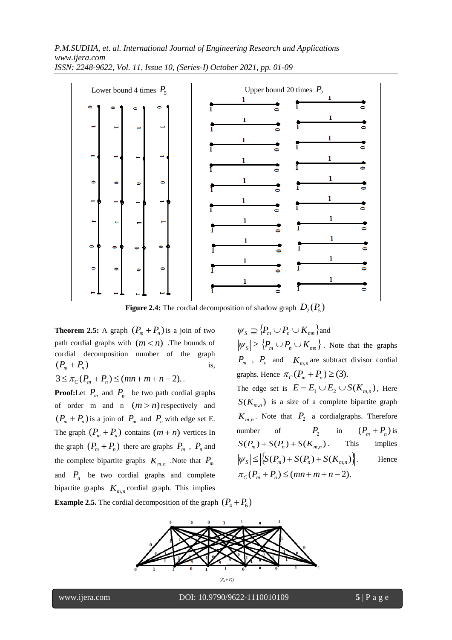

**Figure 2.4:** The cordial decomposition of shadow graph  $D_2(P_5)$ 

**Theorem 2.5:** A graph  $(P_m + P_n)$  is a join of two path cordial graphs with  $(m < n)$ . The bounds of cordial decomposition number of the graph  $(P_m + P_n)$ is,  $3 \leq \pi_C(P_m + P_n) \leq (mn + m + n - 2)$ .

**Proof:**Let  $P_m$  and  $P_n$  be two path cordial graphs of order m and n  $(m > n)$  respectively and  $(P_m + P_n)$  is a join of  $P_m$  and  $P_n$  with edge set E. The graph  $(P_m + P_n)$  contains  $(m+n)$  vertices In the graph  $(P_m + P_n)$  there are graphs  $P_m$ ,  $P_n$  and the complete bipartite graphs  $K_{m,n}$ . Note that  $P_m$ and  $P_n$  be two cordial graphs and complete bipartite graphs  $K_{m,n}$  cordial graph. This implies

 $W_S \supseteq \{P_m \cup P_n \cup K_{mn}\}$  and  $|\psi_{S}| \geq |\{P_{m} \cup P_{n} \cup K_{mn}\}|$ . Note that the graphs  $P_m$ ,  $P_n$  and  $K_{m,n}$  are subtract divisor cordial graphs. Hence  $\pi_C(P_m + P_n) \geq (3)$ . The edge set is  $E = E_1 \cup E_2 \cup S(K_{m,n})$ , Here  $S(K_{m,n})$  is a size of a complete bipartite graph  $K_{m,n}$ . Note that  $P_2$  a cordialgraphs. Therefore number of  $P_2$  in  $(P_m + P_n)$  is  $S(P_m) + S(P_n) + S(K_{m,n})$ . This implies  $|\psi_{S}| \leq |\mathcal{S}(P_{m}) + S(P_{n}) + S(K_{m,n})$ Hence  $\pi_{\mathcal{C}}(P_m + P_n) \leq (mn + m + n - 2).$ 

**Example 2.5.** The cordial decomposition of the graph  $(P_4 + P_6)$ 



www.ijera.com DOI: 10.9790/9622-1110010109 **5** | P a g e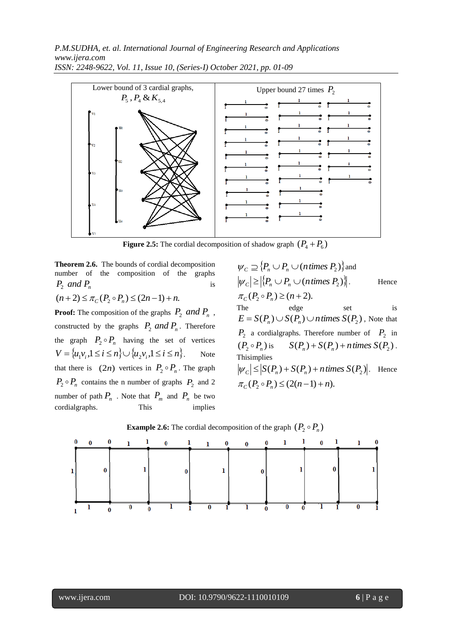

**Figure 2.5:** The cordial decomposition of shadow graph  $(P_4 + P_6)$ 

**Theorem 2.6.** The bounds of cordial decomposition number of the composition of the graphs  $P_2$  *and*  $P_n$ is  $(n+2) \leq \pi_C(P_2 \circ P_n) \leq (2n-1) + n.$ 

**Proof:** The composition of the graphs  $P_2$  *and*  $P_n$ , constructed by the graphs  $P_2$  *and*  $P_n$ . Therefore the graph  $P_2 \circ P_n$  having the set of vertices  $V = \{u_1v_i, 1 \le i \le n\} \cup \{u_2v_i, 1 \le i \le n\}.$ Note that there is  $(2n)$  vertices in  $P_2 \circ P_n$ . The graph  $P_2 \circ P_n$  contains the n number of graphs  $P_2$  and 2 number of path  $P_n$ . Note that  $P_m$  and  $P_n$  be two cordialgraphs. This implies

 $W_c \supseteq \{P_n \cup P_n \cup (n \text{ times } P_2)\}$  and  $|\psi_c| \geq |\{P_n \cup P_n \cup (n \text{ times } P_2)\}|$ . Hence  $\pi_{C}(P_2 \circ P_n) \ge (n+2).$ The edge set is  $E = S(P_n) \cup S(P_n) \cup n$  *times*  $S(P_2)$ , Note that  $P_2$  a cordialgraphs. Therefore number of  $P_2$  in  $(P_2 \circ P_n)$  is  $S(P_n) + S(P_n) + n$  times  $S(P_2)$ . Thisimplies  $|\psi_c| \leq |S(P_n) + S(P_n) + n \text{ times } S(P_2)|$ . Hence  $\pi_C(P_2 \circ P_n) \leq (2(n-1) + n).$ 



**Example 2.6:** The cordial decomposition of the graph  $(P_2 \circ P_n)$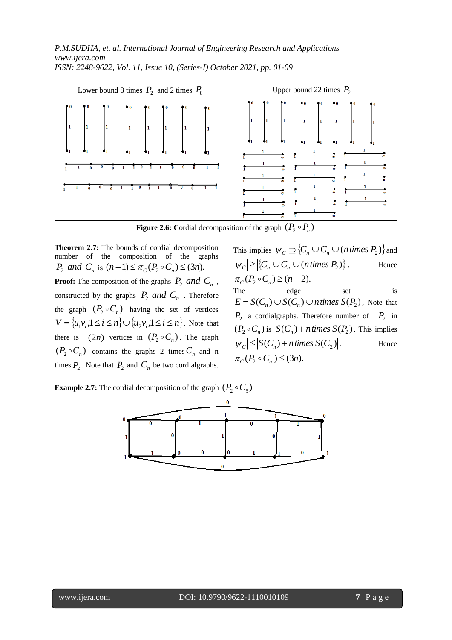

**Figure 2.6:** Cordial decomposition of the graph  $(P_2 \circ P_n)$ 

**Theorem 2.7:** The bounds of cordial decomposition number of the composition of the graphs *P*<sub>2</sub> *and C<sub>n</sub>* is  $(n+1) \le \pi_C(P_2 \circ C_n) \le (3n)$ . **Proof:** The composition of the graphs  $P_2$  *and*  $C_n$ , constructed by the graphs  $P_2$  *and*  $C_n$ . Therefore the graph  $(P_2 \circ C_n)$  having the set of vertices  $V = \{u_1v_i, 1 \le i \le n\} \cup \{u_2v_i, 1 \le i \le n\}$ . Note that there is  $(2n)$  vertices in  $(P_2 \circ C_n)$ . The graph  $(P_2 \circ C_n)$  contains the graphs 2 times  $C_n$  and n times  $P_2$ . Note that  $P_2$  and  $C_n$  be two cordialgraphs. This implies  $\psi_c \supseteq \{C_n \cup C_n \cup (n \text{ times } P_2)\}\$ and  $|\psi_c| \geq |\{C_n \cup C_n \cup (n \text{ times } P_2)\}|$ . Hence  $\pi_{C}(P_2 \circ C_n) \ge (n+2).$ 

The edge set is  $E = S(C_n) \cup S(C_n) \cup n$  *times*  $S(P_2)$ , Note that  $P_2$  a cordialgraphs. Therefore number of  $P_2$  in  $(P_2 \circ C_n)$  is  $S(C_n) + n$  times  $S(P_2)$ . This implies  $|\psi_c| \leq |S(C_n) + n \text{ times } S(C_2)|$ . Hence  $\pi_C(P_2 \circ C_n) \leq (3n).$ 

**Example 2.7:** The cordial decomposition of the graph  $(P_2 \circ C_5)$ 

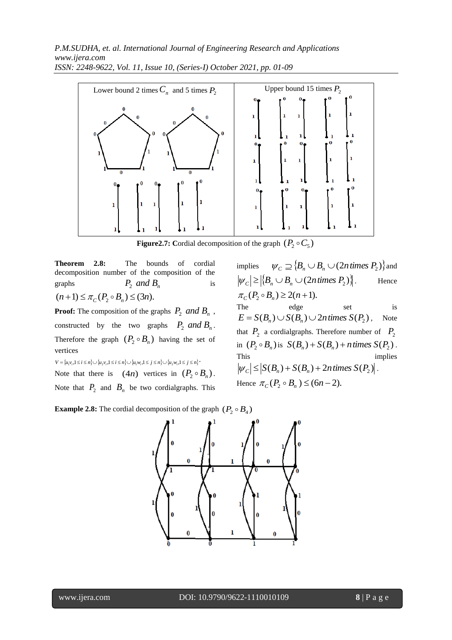

**Figure2.7:** Cordial decomposition of the graph  $(P_2 \circ C_5)$ 

**Theorem 2.8:** The bounds of cordial decomposition number of the composition of the graphs  $P_2$  *and*  $B_n$ is  $(n+1) \leq \pi_C(P_2 \circ B_n) \leq (3n).$ 

**Proof:** The composition of the graphs  $P_2$  *and*  $B_n$ , constructed by the two graphs  $P_2$  *and*  $B_n$ . Therefore the graph  $(P_2 \circ B_n)$  having the set of vertices

 $V = \{u_1v_i, 1 \le i \le n\} \cup \{u_2v_i, 1 \le i \le n\} \cup \{u_1w_i, 1 \le j \le n\} \cup \{u_2w_i, 1 \le j \le n\}$ 

Note that there is  $(4n)$  vertices in  $(P_2 \circ B_n)$ .

Note that  $P_2$  and  $B_n$  be two cordialgraphs. This

implies  $W_c \supseteq \{B_n \cup B_n \cup (2n \text{ times } P_2)\}$  and  $|\psi_c| \geq |\langle B_n \cup B_n \cup (2n \text{ times } P_2) \rangle|$ . Hence  $\pi_C(P_2 \circ B_n) \geq 2(n+1).$ The edge set is  $E = S(B_n) \cup S(B_n) \cup 2n$  times  $S(P_2)$ , Note that  $P_2$  a cordialgraphs. Therefore number of  $P_2$ in  $(P_2 \circ B_n)$  is  $S(B_n) + S(B_n) + n$  times  $S(P_2)$ . This implies  $|\psi_c| \leq |S(B_n) + S(B_n) + 2n \text{ times } S(P_2)|.$ Hence  $\pi_{C}(P_2 \circ B_n) \leq (6n-2)$ .

**Example 2.8:** The cordial decomposition of the graph  $(P_2 \circ B_4)$